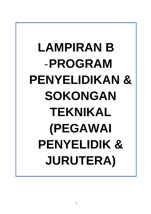# LAMPIRAN B -**PROGRAM PENYELIDIKAN & SOKONGAN TEKNIKAL (PEGAWAI PENYELIDIK & JURUTERA)**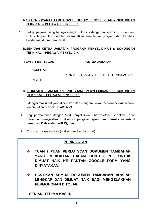# **A.SYARAT-SYARAT TAMBAHAN PROGRAM PENYELIDIKAN & SOKONGAN TEKNIKAL – PEGAWAI PENYELIDIK**

1. Setiap pegawai yang berjaya mengikuti kursus dengan tawaran CBBP dengan HLP / tanpa HLP perlulah ditempatkan semula ke program dan kembali berkhidmat di program P&ST.

# **B.SENARAI KETUA JABATAN PROGRAM PENYELIDIKAN & SOKONGAN TEKNIKAL – PEGAWAI PENYELIDIK**

| <b>TEMPAT BERTUGAS</b> | <b>KETUA JABATAN</b>                   |
|------------------------|----------------------------------------|
| <b>HOSPITAL</b>        | PENGARAH BAGI SETIAP INSTITUT/BAHAGIAN |
| <b>INSTITUSI</b>       |                                        |

# **C. DOKUMEN TAMBAHAN PROGRAM PENYELIDIKAN & SOKONGAN TEKNIKAL – PEGAWAI PENYELIDIK**

Mengisi maklumat yang diperlukan dan mengemukakan perkara berikut secara dalam talian di **shorturl.at/lDZ23**

- 1. Bagi permohonan dengan Mod Penyelidikan / *Mixed-Mode*, sertakan Kertas Cadangan Penyelidikan / disertasi pengajian **(panduan menulis seperti di Lampiran C di sistem eHLP);** dan
- 2. *Curriculum vitae* ringkas (maksimum 3 muka surat).

# **PERINGATAN**

- **TUAN / PUAN PERLU SCAN DOKUMEN TAMBAHAN YANG BERKAITAN DALAM BENTUK PDF UNTUK DIMUAT NAIK KE PAUTAN GOOGLE FORM YANG DINYATAKAN.**
- **PASTIKAN SEMUA DOKUMEN TAMBAHAN ADALAH LENGKAP DAN DIMUAT NAIK BAGI MENGELAKKAN PERMOHONAN DITOLAK.**

**SEKIAN, TERIMA KASIH.**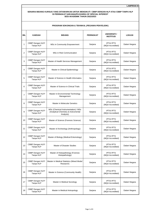|                | <b>PROGRAM SOKONGAN &amp; TEKNIKAL (PEGAWAI PENYELIDIK)</b> |                                                                                           |                  |                                       |               |  |  |  |
|----------------|-------------------------------------------------------------|-------------------------------------------------------------------------------------------|------------------|---------------------------------------|---------------|--|--|--|
| BIL            | <b>KAEDAH</b>                                               | <b>BIDANG</b>                                                                             | <b>PERINGKAT</b> | UNIVERSITI /<br><b>INSTITUSI</b>      | <b>LOKASI</b> |  |  |  |
| $\mathbf{1}$   | CBBP Dengan HLP/<br>Tanpa HLP                               | MSc in Community Empowerment                                                              | Sarjana          | <b>IPTA/ IPTS</b><br>(MQA Accredited) | Dalam Negara  |  |  |  |
| $\overline{2}$ | CBBP Dengan HLP/<br>Tanpa HLP                               | MSc in Risk Communication                                                                 | Sarjana          | <b>IPTA/IPTS</b><br>(MQA Accredited)  | Dalam Negara  |  |  |  |
| 3              | CBBP Dengan HLP/<br>Tanpa HLP                               | Master of Health Services Management                                                      | Sarjana          | <b>IPTA/ IPTS</b><br>(MQA Accredited) | Dalam Negara  |  |  |  |
| $\overline{4}$ | CBBP Dengan HLP/<br>Tanpa HLP                               | Master in Clinical Epidemiology                                                           | Sarjana          | <b>IPTA/ IPTS</b><br>(MQA Accredited) | Dalam Negara  |  |  |  |
| 5              | CBBP Dengan HLP/<br>Tanpa HLP                               | Master of Science in Health Informatics                                                   | Sarjana          | <b>IPTA/IPTS</b><br>(MQA Accredited)  | Dalam Negara  |  |  |  |
| 6              | CBBP Dengan HLP/<br>Tanpa HLP                               | Master of Science in Clinical Trials                                                      | Sarjana          | <b>IPTA/IPTS</b><br>(MQA Accredited)  | Dalam Negara  |  |  |  |
| $\overline{7}$ | CBBP Dengan HLP/<br>Tanpa HLP                               | Master in Environmental Technology<br>Management                                          | Sarjana          | <b>IPTA/IPTS</b><br>(MQA Accredited)  | Dalam Negara  |  |  |  |
| 8              | CBBP Dengan HLP/<br>Tanpa HLP                               | Master in Molecular Genetics                                                              | Sarjana          | <b>IPTA/ IPTS</b><br>(MQA Accredited) | Dalam Negara  |  |  |  |
| 9              | CBBP Dengan HLP/<br>Tanpa HLP                               | MSc (Chemical Instrumentation) / MSc<br>(Analytical Chemistry & Instrumental<br>Analysis) | Sarjana          | <b>IPTA/ IPTS</b><br>(MQA Accredited) | Dalam Negara  |  |  |  |
| 10             | CBBP Dengan HLP/<br>Tanpa HLP                               | Master of Science (Forensic Science)                                                      | Sarjana          | <b>IPTA/IPTS</b><br>(MQA Accredited)  | Dalam Negara  |  |  |  |
| 11             | CBBP Dengan HLP/<br>Tanpa HLP                               | Master of Archeology (Anthropology)                                                       | Sarjana          | <b>IPTA/IPTS</b><br>(MQA Accredited)  | Dalam Negara  |  |  |  |
| 12             | CBBP Dengan HLP/<br>Tanpa HLP                               | Master of Biology (Medical Entomology)                                                    | Sarjana          | <b>IPTA/IPTS</b><br>(MQA Accredited)  | Dalam Negara  |  |  |  |
| 13             | CBBP Dengan HLP/<br>Tanpa HLP                               | Master of Disaster Studies                                                                | Sarjana          | <b>IPTA/IPTS</b><br>(MQA Accredited)  | Dalam Negara  |  |  |  |
| 14             | CBBP Dengan HLP/<br>Tanpa HLP                               | Master of Histopathology (Forensic<br>Histopathology)                                     | Sarjana          | <b>IPTA/ IPTS</b><br>(MQA Accredited) | Dalam Negara  |  |  |  |
| 15             | CBBP Dengan HLP/<br>Tanpa HLP                               | Master in Medical Statistics (Mixed Mode/<br>Research)                                    | Sarjana          | IPTA/ IPTS<br>(MQA Accredited)        | Dalam Negara  |  |  |  |
| 16             | CBBP Dengan HLP/<br>Tanpa HLP                               | Master in Science (Community Health)                                                      | Sarjana          | <b>IPTA/ IPTS</b><br>(MQA Accredited) | Dalam Negara  |  |  |  |
| 17             | CBBP Dengan HLP/<br>Tanpa HLP                               | Master in Medical Sociology                                                               | Sarjana          | IPTA/ IPTS<br>(MQA Accredited)        | Dalam Negara  |  |  |  |
| 18             | CBBP Dengan HLP/<br>Tanpa HLP                               | Master in Medical Antropology                                                             | Sarjana          | <b>IPTA/IPTS</b><br>(MQA Accredited)  | Dalam Negara  |  |  |  |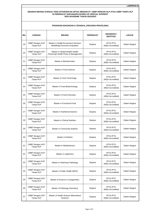|     | UGNAM SUNUNGAN & ILNNINAL (FLOAWAI FLN I LLIDIN) |                                                                          |                  |                                       |               |  |  |  |
|-----|--------------------------------------------------|--------------------------------------------------------------------------|------------------|---------------------------------------|---------------|--|--|--|
| BIL | <b>KAEDAH</b>                                    | <b>BIDANG</b>                                                            | <b>PERINGKAT</b> | UNIVERSITI /<br><b>INSTITUSI</b>      | <b>LOKASI</b> |  |  |  |
| 19  | CBBP Dengan HLP/<br>Tanpa HLP                    | Master in Health Economics/ Decision<br>Modelling/ Economic Evaluation   | Sarjana          | <b>IPTA/IPTS</b><br>(MQA Accredited)  | Dalam Negara  |  |  |  |
| 20  | CBBP Dengan HLP/<br>Tanpa HLP                    | Master in Global Health/ Health<br>Financing/ Health Policy & Management | Sarjana          | <b>IPTA/IPTS</b><br>(MQA Accredited)  | Dalam Negara  |  |  |  |
| 21  | CBBP Dengan HLP/<br>Tanpa HLP                    | Master in Bioinformatics                                                 | Sarjana          | <b>IPTA/IPTS</b><br>(MQA Accredited)  | Dalam Negara  |  |  |  |
| 22  | CBBP Dengan HLP/<br>Tanpa HLP                    | Master in Food Science                                                   | Sarjana          | <b>IPTA/IPTS</b><br>(MQA Accredited)  | Dalam Negara  |  |  |  |
| 23  | CBBP Dengan HLP/<br>Tanpa HLP                    | Master in Food Technology                                                | Sarjana          | <b>IPTA/IPTS</b><br>(MQA Accredited)  | Dalam Negara  |  |  |  |
| 24  | CBBP Dengan HLP/<br>Tanpa HLP                    | Master in Food Biotechnology                                             | Sarjana          | <b>IPTA/IPTS</b><br>(MQA Accredited)  | Dalam Negara  |  |  |  |
| 25  | CBBP Dengan HLP/<br>Tanpa HLP                    | Master in Food Chemistry                                                 | Sarjana          | <b>IPTA/IPTS</b><br>(MQA Accredited)  | Dalam Negara  |  |  |  |
| 26  | CBBP Dengan HLP/<br>Tanpa HLP                    | Master in Functional Food                                                | Sarjana          | <b>IPTA/IPTS</b><br>(MQA Accredited)  | Dalam Negara  |  |  |  |
| 27  | CBBP Dengan HLP/<br>Tanpa HLP                    | Master in Nutritional Science                                            | Sarjana          | <b>IPTA/IPTS</b><br>(MQA Accredited)  | Dalam Negara  |  |  |  |
| 28  | CBBP Dengan HLP/<br>Tanpa HLP                    | Master in Clinical Nutrition                                             | Sarjana          | <b>IPTA/IPTS</b><br>(MQA Accredited)  | Dalam Negara  |  |  |  |
| 29  | CBBP Dengan HLP/<br>Tanpa HLP                    | <b>Master in Community Nutrition</b>                                     | Sarjana          | <b>IPTA/IPTS</b><br>(MQA Accredited)  | Dalam Negara  |  |  |  |
| 30  | CBBP Dengan HLP/<br>Tanpa HLP                    | Master in Nutrition                                                      | Sarjana          | <b>IPTA/IPTS</b><br>(MQA Accredited)  | Dalam Negara  |  |  |  |
| 31  | CBBP Dengan HLP/<br>Tanpa HLP                    | Master in Metabolomics                                                   | Sarjana          | <b>IPTA/ IPTS</b><br>(MQA Accredited) | Dalam Negara  |  |  |  |
| 32  | CBBP Dengan HLP/<br>Tanpa HLP                    | Master in Lipidomics                                                     | Sarjana          | <b>IPTA/IPTS</b><br>(MQA Accredited)  | Dalam Negara  |  |  |  |
| 33  | CBBP Dengan HLP/<br>Tanpa HLP                    | Master in Veterinary Pathology                                           | Sarjana          | <b>IPTA/IPTS</b><br>(MQA Accredited)  | Dalam Negara  |  |  |  |
| 34  | CBBP Dengan HLP/<br>Tanpa HLP                    | Master in Public Health (MPH)                                            | Sarjana          | <b>IPTA/IPTS</b><br>(MQA Accredited)  | Dalam Negara  |  |  |  |
| 35  | CBBP Dengan HLP/<br>Tanpa HLP                    | Master of Science in Cytogenetics                                        | Sarjana          | <b>IPTA/IPTS</b><br>(MQA Accredited)  | Dalam Negara  |  |  |  |
| 36  | CBBP Dengan HLP/<br>Tanpa HLP                    | Master of Pathology (Genetics)                                           | Sarjana          | <b>IPTA/IPTS</b><br>(MQA Accredited)  | Dalam Negara  |  |  |  |
| 37  | CBBP Dengan HLP/<br>Tanpa HLP                    | Master of Health Science (Biomedical<br>Science)                         | Sarjana          | <b>IPTA/IPTS</b><br>(MQA Accredited)  | Dalam Negara  |  |  |  |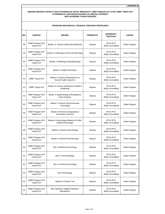|     | <b>PROGRAM SOKONGAN &amp; TEKNIKAL (PEGAWAI PENYELIDIK)</b> |                                                              |                  |                                       |               |  |  |
|-----|-------------------------------------------------------------|--------------------------------------------------------------|------------------|---------------------------------------|---------------|--|--|
| BIL | <b>KAEDAH</b>                                               | <b>BIDANG</b>                                                | <b>PERINGKAT</b> | UNIVERSITI /<br><b>INSTITUSI</b>      | <b>LOKASI</b> |  |  |
| 38  | CBBP Dengan HLP/<br>Tanpa HLP                               | Master of Science (Molecular Medicine)                       | Sarjana          | <b>IPTA/IPTS</b><br>(MQA Accredited)  | Dalam Negara  |  |  |
| 39  | CBBP Dengan HLP/<br>Tanpa HLP                               | Master in Pathology (Chemical Pathology)                     | Sarjana          | <b>IPTA/ IPTS</b><br>(MQA Accredited) | Dalam Negara  |  |  |
| 40  | CBBP Dengan HLP/<br>Tanpa HLP                               | Master in Pathology (Histopathology)                         | Sarjana          | <b>IPTA/IPTS</b><br>(MQA Accredited)  | Dalam Negara  |  |  |
| 41  | CBBP Dengan HLP/<br>Tanpa HLP                               | Master in Health Informatics                                 | Sarjana          | <b>IPTA/IPTS</b><br>(MQA Accredited)  | Dalam Negara  |  |  |
| 42  | CBBP Tanpa HLP                                              | Master in Science (Reproductive &<br>Sexual Health research) | Sarjana          | <b>IPTA/ IPTS</b><br>(MQA Accredited) | Dalam Negara  |  |  |
| 43  | CBBP Tanpa HLP                                              | Master of Science (Adolescent Health &<br>Wellbeing)         | Sarjana          | <b>IPTA/IPTS</b><br>(MQA Accredited)  | Dalam Negara  |  |  |
| 44  | CBBP Dengan HLP/<br>Tanpa HLP                               | Master in Epidemiology & Biostatistics/<br>Data Analytics    | Sarjana          | <b>IPTA/IPTS</b><br>(MQA Accredited)  | Dalam Negara  |  |  |
| 45  | CBBP Dengan HLP/<br>Tanpa HLP                               | Master in Science (Environmental<br>Toxicology)              | Sarjana          | <b>IPTA/IPTS</b><br>(MQA Accredited)  | Dalam Negara  |  |  |
| 46  | CBBP Dengan HLP/<br>Tanpa HLP                               | Master of Science (Geographical<br>Information Science)      | Sarjana          | <b>IPTA/ IPTS</b><br>(MQA Accredited) | Dalam Negara  |  |  |
| 47  | CBBP Dengan HLP/<br>Tanpa HLP                               | Master in Entomology (Medical & Public<br>Health Entomology) | Sarjana          | <b>IPTA/IPTS</b><br>(MQA Accredited)  | Dalam Negara  |  |  |
| 48  | CBBP Dengan HLP/<br>Tanpa HLP                               | Master in Science Microbiology                               | Sarjana          | <b>IPTA/IPTS</b><br>(MQA Accredited)  | Dalam Negara  |  |  |
| 49  | CBBP Dengan HLP/<br>Tanpa HLP                               | Master in Clinical Pharmacology                              | Sarjana          | <b>IPTA/ IPTS</b><br>(MQA Accredited) | Dalam Negara  |  |  |
| 50  | CBBP Dengan HLP/<br>Tanpa HLP                               | Msc in Medical Immunology                                    | Sarjana          | <b>IPTA/IPTS</b><br>(MQA Accredited)  | Dalam Negara  |  |  |
| 51  | CBBP Dengan HLP/<br>Tanpa HLP                               | Msc in Immunobiology                                         | Sarjana          | <b>IPTA/IPTS</b><br>(MQA Accredited)  | Dalam Negara  |  |  |
| 52  | CBBP Dengan HLP/<br>Tanpa HLP                               | Msc In Clinical Immunology                                   | Sarjana          | <b>IPTA/IPTS</b><br>(MQA Accredited)  | Dalam Negara  |  |  |
| 53  | CBBP Dengan HLP/<br>Tanpa HLP                               | Msc Immunology                                               | Sarjana          | <b>IPTA/IPTS</b><br>(MQA Accredited)  | Dalam Negara  |  |  |
| 54  | CBBP Dengan HLP/<br>Tanpa HLP                               | Master of Clinical Trial                                     | Sarjana          | <b>IPTA/IPTS</b><br>(MQA Accredited)  | Dalam Negara  |  |  |
| 55  | CBBP Dengan HLP/<br>Tanpa HLP                               | MSc Statistics/ Applied Statistics/<br><b>Biostatistics</b>  | Sarjana          | <b>IPTA/IPTS</b><br>(MQA Accredited)  | Dalam Negara  |  |  |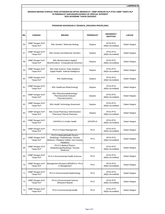|     | <b>PROGRAM SOKONGAN &amp; TEKNIKAL (PEGAWAI PENYELIDIK)</b> |                                                                                                                                   |                  |                                       |               |  |  |
|-----|-------------------------------------------------------------|-----------------------------------------------------------------------------------------------------------------------------------|------------------|---------------------------------------|---------------|--|--|
| BIL | <b>KAEDAH</b>                                               | <b>BIDANG</b>                                                                                                                     | <b>PERINGKAT</b> | UNIVERSITI /<br><b>INSTITUSI</b>      | <b>LOKASI</b> |  |  |
| 56  | CBBP Dengan HLP/<br>Tanpa HLP                               | MSc Genetic/ Molecular Biology                                                                                                    | Sarjana          | <b>IPTA/IPTS</b><br>(MQA Accredited)  | Dalam Negara  |  |  |
| 57  | CBBP Dengan HLP/<br>Tanpa HLP                               | <b>MSc Human and Molecular Genetics</b>                                                                                           | Sarjana          | <b>IPTA/IPTS</b><br>(MQA Accredited)  | Dalam Negara  |  |  |
| 58  | CBBP Dengan HLP/<br>Tanpa HLP                               | <b>MSc Bioinformatics/ Applied</b><br>Bioinformatics/ Computational Genomics                                                      | Sarjana          | <b>IPTA/ IPTS</b><br>(MQA Accredited) | Dalam Negara  |  |  |
| 59  | CBBP Dengan HLP/<br>Tanpa HLP                               | MSc Data Science / Data Analytics/<br>Digital Health/ Artificial Intelligence                                                     | Sarjana          | <b>IPTA/IPTS</b><br>(MQA Accredited)  | Dalam Negara  |  |  |
| 60  | CBBP Dengan HLP/<br>Tanpa HLP                               | <b>MSc Epidemiology</b>                                                                                                           | Sarjana          | <b>IPTA/IPTS</b><br>(MQA Accredited)  | Dalam Negara  |  |  |
| 61  | CBBP Dengan HLP/<br>Tanpa HLP                               | MSc Healthcare Biotechnology                                                                                                      | Sarjana          | <b>IPTA/IPTS</b><br>(MQA Accredited)  | Dalam Negara  |  |  |
| 62  | CBBP Dengan HLP/<br>Tanpa HLP                               | MSc Pharmacoepidemiology/<br>Pharmaceutical Analysis/<br>Pharmacometrics                                                          | Sarjana          | <b>IPTA/IPTS</b><br>(MQA Accredited)  | Dalam Negara  |  |  |
| 63  | CBBP Dengan HLP/<br>Tanpa HLP                               | MSc Health Technology Assesment                                                                                                   | Sarjana          | <b>IPTA/IPTS</b><br>(MQA Accredited)  | Dalam Negara  |  |  |
| 64  | CBBP Dengan HLP/<br>Tanpa HLP                               | MSc Social Pharmacy/ Administrative<br>Pharmacy/ Clinical Pharmacy                                                                | Sarjana          | <b>IPTA/ IPTS</b><br>(MQA Accredited) | Dalam Negara  |  |  |
| 65  | CBBP Dengan HLP/<br>Tanpa HLP                               | DrPH/Ph.D in Public Health                                                                                                        | DrPH/Ph.D        | <b>IPTA/ IPTS</b><br>(MQA Accredited) | Dalam Negara  |  |  |
| 66  | CBBP Dengan HLP/<br>Tanpa HLP                               | Ph.D in Project Management                                                                                                        | Ph.D             | <b>IPTA/IPTS</b><br>(MQA Accredited)  | Dalam Negara  |  |  |
| 67  | CBBP Dengan HLP/<br>Tanpa HLP                               | Ph.D in Medical/Health Physics<br>(Radiology / Radiotherapy / Nuclear<br>Medicine / Radiation Safety / Non Ionising<br>Radiation) | Ph.D             | <b>IPTA/ IPTS</b><br>(MQA Accredited) | Dalam Negara  |  |  |
| 68  | CBBP Dengan HLP/<br>Tanpa HLP                               | Ph.D in Medical Physics<br>(Radiotherapy/Radiology / Nuclear<br>Medicine)                                                         | Ph.D             | <b>IPTA/IPTS</b><br>(MQA Accredited)  | Dalam Negara  |  |  |
| 69  | CBBP Dengan HLP/<br>Tanpa HLP                               | Ph.D in Environmental Health Sciences                                                                                             | Ph.D             | <b>IPTA/IPTS</b><br>(MQA Accredited)  | Dalam Negara  |  |  |
| 70  | CBBP Dengan HLP/<br>Tanpa HLP                               | Management Research MPhil/Ph.D / Ph.D<br>in Management                                                                            | Ph.D             | <b>IPTA/IPTS</b><br>(MQA Accredited)  | Dalam Negara  |  |  |
| 71  | CBBP Dengan HLP/<br>Tanpa HLP                               | Ph.D in Environmental Epidemiology                                                                                                | Ph.D             | IPTA/ IPTS<br>(MQA Accredited)        | Dalam Negara  |  |  |
| 72  | CBBP Dengan HLP/<br>Tanpa HLP                               | Ph.D in Environmental Science<br>(Research-Based)                                                                                 | Ph.D             | <b>IPTA/IPTS</b><br>(MQA Accredited)  | Dalam Negara  |  |  |
| 73  | CBBP Dengan HLP/<br>Tanpa HLP                               | Ph.D in Environmental Health                                                                                                      | Ph.D             | <b>IPTA/IPTS</b><br>(MQA Accredited)  | Dalam Negara  |  |  |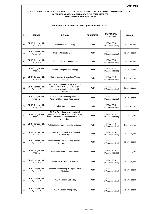| <b>BIL</b> | <b>KAEDAH</b>                 | <b>BIDANG</b>                                                                                                                                | <b>PERINGKAT</b> | UNIVERSITI /<br><b>INSTITUSI</b>      | <b>LOKASI</b> |  |  |  |
|------------|-------------------------------|----------------------------------------------------------------------------------------------------------------------------------------------|------------------|---------------------------------------|---------------|--|--|--|
| 74         | CBBP Dengan HLP/<br>Tanpa HLP | Ph.D in Medical Virology                                                                                                                     | Ph.D             | <b>IPTA/IPTS</b><br>(MQA Accredited)  | Dalam Negara  |  |  |  |
| 75         | CBBP Dengan HLP/<br>Tanpa HLP | <b>Ph.D in Molecular Genetics</b>                                                                                                            | Ph.D             | <b>IPTA/IPTS</b><br>(MQA Accredited)  | Dalam Negara  |  |  |  |
| 76         | CBBP Dengan HLP/<br>Tanpa HLP | Ph.D in Cellular Immunology                                                                                                                  | Ph.D             | <b>IPTA/IPTS</b><br>(MQA Accredited)  | Dalam Negara  |  |  |  |
| 77         | CBBP Dengan HLP/<br>Tanpa HLP | Ph.D in Transplant Immunology                                                                                                                | Ph.D             | <b>IPTA/IPTS</b><br>(MQA Accredited)  | Dalam Negara  |  |  |  |
| 78         | CBBP Dengan HLP/<br>Tanpa HLP | Ph.D in Medical Entomology/Vector<br>Biology                                                                                                 | Ph.D             | <b>IPTA/IPTS</b><br>(MQA Accredited)  | Dalam Negara  |  |  |  |
| 79         | CBBP Dengan HLP/<br>Tanpa HLP | Ph.D in Immunomodulatory activity of<br>drugs: effect & impact of drugs on<br>immune system of individuals with<br>disease                   | Ph.D             | <b>IPTA/IPTS</b><br>(MQA Accredited)  | Dalam Negara  |  |  |  |
| 80         | CBBP Dengan HLP/<br>Tanpa HLP | Ph.D: Mechanism of Regulation and<br>Action Of Skin Tissue Regeneration                                                                      | Ph.D             | <b>IPTA/IPTS</b><br>(MQA Accredited)  | Dalam Negara  |  |  |  |
| 81         | CBBP Dengan HLP/<br>Tanpa HLP | Ph.D in Pharmacogenetics                                                                                                                     | Ph.D             | <b>IPTA/IPTS</b><br>(MQA Accredited)  | Dalam Negara  |  |  |  |
| 82         | CBBP Dengan HLP/<br>Tanpa HLP | Ph.D in Drug Discovery in anti viral<br>(model) : Celluar and Molecular approches<br>to understanding the mechanism of action<br>of the drug | Ph.D             | <b>IPTA/IPTS</b><br>(MQA Accredited)  | Dalam Negara  |  |  |  |
| 83         | CBBP Dengan HLP/<br>Tanpa HLP | Ph.D in Cellular and molecular toxicology                                                                                                    | Ph.D             | <b>IPTA/IPTS</b><br>(MQA Accredited)  | Dalam Negara  |  |  |  |
| 84         | CBBP Dengan HLP/<br>Tanpa HLP | Ph.D Biokimia Genetik/IEM (Genetik<br>Farmakologi)                                                                                           | Ph.D             | <b>IPTA/IPTS</b><br>(MQA Accredited)  | Dalam Negara  |  |  |  |
| 85         | CBBP Dengan HLP/<br>Tanpa HLP | Ph.D Biokimia Genetik /IEM (Paediatric<br>Neurotransmitter)                                                                                  | Ph.D             | <b>IPTA/IPTS</b><br>(MQA Accredited)  | Dalam Negara  |  |  |  |
| 86         | CBBP Dengan HLP/<br>Tanpa HLP | Ph.D Sel Stem/Sel Stem Kanser                                                                                                                | Ph.D             | <b>IPTA/IPTS</b><br>(MQA Accredited)  | Dalam Negara  |  |  |  |
| 87         | CBBP Dengan HLP/<br>Tanpa HLP | Ph.D Kanser Genetik Molekular                                                                                                                | Ph.D             | <b>IPTA/ IPTS</b><br>(MQA Accredited) | Dalam Negara  |  |  |  |
| 88         | CBBP Dengan HLP/<br>Tanpa HLP | Ph.D in Bioprocessing in Regenerative<br>Medicine                                                                                            | Ph.D             | <b>IPTA/IPTS</b><br>(MQA Accredited)  | Dalam Negara  |  |  |  |
| 89         | CBBP Dengan HLP/<br>Tanpa HLP | Ph.D in Medical Sociology                                                                                                                    | Ph.D             | <b>IPTA/IPTS</b><br>(MQA Accredited)  | Dalam Negara  |  |  |  |
| 90         | CBBP Dengan HLP/<br>Tanpa HLP | Ph.D in Medical Antropology                                                                                                                  | Ph.D             | <b>IPTA/ IPTS</b><br>(MQA Accredited) | Dalam Negara  |  |  |  |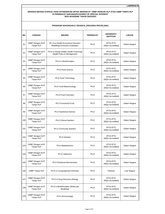|     | UGRAIN SURUNGAN & IERNIRAL (FEGAWAI FENTELIDIR) |                                                                        |                  |                                         |               |  |  |  |
|-----|-------------------------------------------------|------------------------------------------------------------------------|------------------|-----------------------------------------|---------------|--|--|--|
| BIL | <b>KAEDAH</b>                                   | <b>BIDANG</b>                                                          | <b>PERINGKAT</b> | <b>UNIVERSITI /</b><br><b>INSTITUSI</b> | <b>LOKASI</b> |  |  |  |
| 91  | CBBP Dengan HLP/<br>Tanpa HLP                   | Ph. D in Health Economics/ Decision<br>Modelling/ Economic Evaluation  | Ph.D             | <b>IPTA/IPTS</b><br>(MQA Accredited)    | Dalam Negara  |  |  |  |
| 92  | CBBP Dengan HLP/<br>Tanpa HLP                   | Ph.D in Global Health/ Health Financing/<br>Health Policy & Management | Ph.D             | <b>IPTA/IPTS</b><br>(MQA Accredited)    | Dalam Negara  |  |  |  |
| 93  | CBBP Dengan HLP/<br>Tanpa HLP                   | Ph.D in Bioinformatics                                                 | Ph.D             | <b>IPTA/IPTS</b><br>(MQA Accredited)    | Dalam Negara  |  |  |  |
| 94  | CBBP Dengan HLP/<br>Tanpa HLP                   | Ph.D Food Science                                                      | Ph.D             | <b>IPTA/ IPTS</b><br>(MQA Accredited)   | Dalam Negara  |  |  |  |
| 95  | CBBP Dengan HLP/<br>Tanpa HLP                   | Ph.D Food Technology                                                   | Ph.D             | <b>IPTA/IPTS</b><br>(MQA Accredited)    | Dalam Negara  |  |  |  |
| 96  | CBBP Dengan HLP/<br>Tanpa HLP                   | Ph.D Food Biotechnology                                                | Ph.D             | <b>IPTA/IPTS</b><br>(MQA Accredited)    | Dalam Negara  |  |  |  |
| 97  | CBBP Dengan HLP/<br>Tanpa HLP                   | Ph.D Food Chemistry                                                    | Ph.D             | <b>IPTA/IPTS</b><br>(MQA Accredited)    | Dalam Negara  |  |  |  |
| 98  | CBBP Dengan HLP/<br>Tanpa HLP                   | Ph.D Functional Food                                                   | Ph.D             | <b>IPTA/IPTS</b><br>(MQA Accredited)    | Dalam Negara  |  |  |  |
| 99  | CBBP Dengan HLP/<br>Tanpa HLP                   | <b>Ph.D Nutritional Science</b>                                        | Ph.D             | <b>IPTA/ IPTS</b><br>(MQA Accredited)   | Dalam Negara  |  |  |  |
| 100 | CBBP Dengan HLP/<br>Tanpa HLP                   | <b>Ph.D Clinical Nutrition</b>                                         | Ph.D             | <b>IPTA/ IPTS</b><br>(MQA Accredited)   | Dalam Negara  |  |  |  |
| 101 | CBBP Dengan HLP/<br>Tanpa HLP                   | <b>Ph.D Community Nutrition</b>                                        | Ph.D             | <b>IPTA/IPTS</b><br>(MQA Accredited)    | Dalam Negara  |  |  |  |
| 102 | CBBP Dengan HLP/<br>Tanpa HLP                   | <b>Ph.D Nutrition</b>                                                  | Ph.D             | <b>IPTA/IPTS</b><br>(MQA Accredited)    | Dalam Negara  |  |  |  |
| 103 | CBBP Dengan HLP/<br>Tanpa HLP                   | Ph.D Metabolomics                                                      | Ph.D             | <b>IPTA/ IPTS</b><br>(MQA Accredited)   | Dalam Negara  |  |  |  |
| 104 | CBBP Dengan HLP/<br>Tanpa HLP                   | Ph.D Lipidomics                                                        | Ph.D             | <b>IPTA/IPTS</b><br>(MQA Accredited)    | Dalam Negara  |  |  |  |
| 105 | CBBP Dengan HLP/<br>Tanpa HLP                   | Ph.D Nutritional Biochemistry                                          | Ph.D             | <b>IPTA/IPTS</b><br>(MQA Accredited)    | Dalam Negara  |  |  |  |
| 106 | CBBP Tanpa HLP                                  | Ph.D in Computational Chemistry                                        | Ph.D             | Terbuka                                 | Luar Negara   |  |  |  |
| 107 | CBBP Dengan HLP/<br>Tanpa HLP                   | Ph.D in Drug Discovery Biology                                         | Ph.D             | IPTA/ IPTS<br>(MQA Accredited)          | Dalam Negara  |  |  |  |
| 108 | CBBP Dengan HLP/<br>Tanpa HLP                   | Ph.D in Bioinformatics (Molecular<br>Modeling)                         | Ph.D             | <b>IPTA/IPTS</b><br>(MQA Accredited)    | Dalam Negara  |  |  |  |
| 109 | CBBP Dengan HLP/<br>Tanpa HLP                   | Ph.D (Immunology)                                                      | Ph.D             | IPTA/ IPTS<br>(MQA Accredited)          | Dalam Negara  |  |  |  |

# **PROGRAM SOKONGAN & TEKNIKAL (PEGAWAI PENYELIDIK)**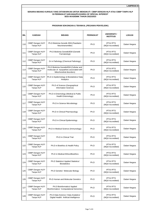|            | PROGRAM SONONGAN & IENNINAL (PEGAWAI PENTELIDIN) |                                                                                                                |                  |                                       |               |  |  |  |
|------------|--------------------------------------------------|----------------------------------------------------------------------------------------------------------------|------------------|---------------------------------------|---------------|--|--|--|
| <b>BIL</b> | <b>KAEDAH</b>                                    | <b>BIDANG</b>                                                                                                  | <b>PERINGKAT</b> | UNIVERSITI /<br><b>INSTITUSI</b>      | <b>LOKASI</b> |  |  |  |
| 110        | CBBP Dengan HLP/<br>Tanpa HLP                    | Ph.D Biokimia Genetik /IEM (Paediatric<br>Neurotransmitter)                                                    | Ph.D             | <b>IPTA/IPTS</b><br>(MQA Accredited)  | Dalam Negara  |  |  |  |
| 111        | CBBP Dengan HLP/<br>Tanpa HLP                    | Ph.D Biokimia Genetik/IEM (Genetik<br>Farmakologi)                                                             | Ph.D             | <b>IPTA/IPTS</b><br>(MQA Accredited)  | Dalam Negara  |  |  |  |
| 112        | CBBP Dengan HLP/<br>Tanpa HLP                    | Dr in Pathology (Chemical Pathology)                                                                           | Ph.D             | <b>IPTA/ IPTS</b><br>(MQA Accredited) | Dalam Negara  |  |  |  |
| 113        | CBBP Dengan HLP/<br>Tanpa HLP                    | Ph.D Biokimia Genetik/IEM (Cellular and<br>molecular of myopathies associated with<br>Mitochondrial disorders) | Ph.D             | <b>IPTA/IPTS</b><br>(MQA Accredited)  | Dalam Negara  |  |  |  |
| 114        | CBBP Dengan HLP/<br>Tanpa HLP                    | Ph.D in Epidemiology & Biostatistics/Data<br>Analytics                                                         | Ph.D             | <b>IPTA/ IPTS</b><br>(MQA Accredited) | Dalam Negara  |  |  |  |
| 115        | CBBP Dengan HLP/<br>Tanpa HLP                    | Ph.D of Science (Geographical<br>Information Science)                                                          | Ph.D             | <b>IPTA/IPTS</b><br>(MQA Accredited)  | Dalam Negara  |  |  |  |
| 116        | CBBP Dengan HLP/<br>Tanpa HLP                    | Ph.D in Entomology (Medical & Public<br>Health Entomology)                                                     | Ph.D             | <b>IPTA/IPTS</b><br>(MQA Accredited)  | Dalam Negara  |  |  |  |
| 117        | CBBP Dengan HLP/<br>Tanpa HLP                    | Ph.D in Science Microbiology                                                                                   | Ph.D             | <b>IPTA/ IPTS</b><br>(MQA Accredited) | Dalam Negara  |  |  |  |
| 118        | CBBP Dengan HLP/<br>Tanpa HLP                    | Ph.D in Clinical Pharmacology                                                                                  | Ph.D             | <b>IPTA/ IPTS</b><br>(MQA Accredited) | Dalam Negara  |  |  |  |
| 119        | CBBP Dengan HLP/<br>Tanpa HLP                    | Ph.D in Clinical Epidemiology                                                                                  | Ph.D             | <b>IPTA/ IPTS</b><br>(MQA Accredited) | Dalam Negara  |  |  |  |
| 120        | CBBP Dengan HLP/<br>Tanpa HLP                    | Ph.D in Medical Science (Immunology)                                                                           | Ph.D             | <b>IPTA/IPTS</b><br>(MQA Accredited)  | Dalam Negara  |  |  |  |
| 121        | CBBP Dengan HLP/<br>Tanpa HLP                    | Ph.D in Clinical Trial                                                                                         | Ph.D             | <b>IPTA/IPTS</b><br>(MQA Accredited)  | Dalam Negara  |  |  |  |
| 122        | CBBP Dengan HLP/<br>Tanpa HLP                    | Ph.D in Bioethics & Health Policy                                                                              | Ph.D             | <b>IPTA/IPTS</b><br>(MQA Accredited)  | Dalam Negara  |  |  |  |
| 123        | CBBP Dengan HLP/<br>Tanpa HLP                    | Ph.D in Medical Ethics/Bioethics                                                                               | Ph.D             | IPTA/ IPTS<br>(MQA Accredited)        | Dalam Negara  |  |  |  |
| 124        | CBBP Dengan HLP/<br>Tanpa HLP                    | Ph.D Statistics/ Applied Statistics/<br><b>Biostatistics</b>                                                   | Ph.D             | <b>IPTA/ IPTS</b><br>(MQA Accredited) | Dalam Negara  |  |  |  |
| 125        | CBBP Dengan HLP/<br>Tanpa HLP                    | Ph.D Genetic/ Molecular Biology                                                                                | Ph.D             | <b>IPTA/ IPTS</b><br>(MQA Accredited) | Dalam Negara  |  |  |  |
| 126        | CBBP Dengan HLP/<br>Tanpa HLP                    | Ph.D Human and Molecular Genetics                                                                              | Ph.D             | <b>IPTA/ IPTS</b><br>(MQA Accredited) | Dalam Negara  |  |  |  |
| 127        | CBBP Dengan HLP/<br>Tanpa HLP                    | Ph.D Bioinformatics/ Applied<br>Bioinformatics/ Computational Genomics                                         | Ph.D             | <b>IPTA/IPTS</b><br>(MQA Accredited)  | Dalam Negara  |  |  |  |
| 128        | CBBP Dengan HLP/<br>Tanpa HLP                    | Ph.D Data Science / Data Analytics/<br>Digital Health/ Artificial Intelligence                                 | Ph.D             | IPTA/ IPTS<br>(MQA Accredited)        | Dalam Negara  |  |  |  |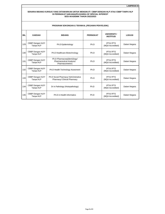**LAMPIRAN B**

|            | PROGRAM SOKONGAN & TEKNIKAL (PEGAWAI PENYELIDIK) |                                                                           |                  |                                      |               |  |  |  |
|------------|--------------------------------------------------|---------------------------------------------------------------------------|------------------|--------------------------------------|---------------|--|--|--|
| <b>BIL</b> | <b>KAEDAH</b>                                    | <b>BIDANG</b>                                                             | <b>PERINGKAT</b> | UNIVERSITI /<br><b>INSTITUSI</b>     | <b>LOKASI</b> |  |  |  |
| 129        | CBBP Dengan HLP/<br>Tanpa HLP                    | Ph.D Epidemiology                                                         | Ph.D             | <b>IPTA/IPTS</b><br>(MQA Accredited) | Dalam Negara  |  |  |  |
| 130        | CBBP Dengan HLP/<br>Tanpa HLP                    | Ph.D Healthcare Biotechnology                                             | Ph.D             | <b>IPTA/IPTS</b><br>(MQA Accredited) | Dalam Negara  |  |  |  |
| 131        | CBBP Dengan HLP/<br>Tanpa HLP                    | Ph.D Pharmacoepidemiology/<br>Pharmaceutical Analysis/<br>Pharmacometrics | Ph.D             | <b>IPTA/IPTS</b><br>(MQA Accredited) | Dalam Negara  |  |  |  |
| 132        | CBBP Dengan HLP/<br>Tanpa HLP                    | Ph.D Health Technology Assesment                                          | Ph <sub>D</sub>  | <b>IPTA/IPTS</b><br>(MQA Accredited) | Dalam Negara  |  |  |  |
| 133        | CBBP Dengan HLP/<br>Tanpa HLP                    | Ph.D Social Pharmacy/ Administrative<br>Pharmacy/ Clinical Pharmacy       | Ph.D             | <b>IPTA/IPTS</b><br>(MQA Accredited) | Dalam Negara  |  |  |  |
| 134        | CBBP Dengan HLP/<br>Tanpa HLP                    | Dr in Pathology (Histopathology)                                          | Ph.D             | <b>IPTA/IPTS</b><br>(MQA Accredited) | Dalam Negara  |  |  |  |
| 135        | CBBP Dengan HLP/<br>Tanpa HLP                    | Ph.D in Health Informatics                                                | Ph.D             | <b>IPTA/IPTS</b><br>(MQA Accredited) | Dalam Negara  |  |  |  |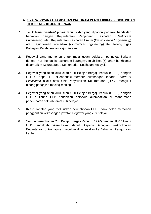# **A. SYARAT-SYARAT TAMBAHAN PROGRAM PENYELIDIKAN & SOKONGAN TEKNIKAL – KEJURUTERAAN**

- 1. Tajuk tesis/ disertasi/ projek tahun akhir yang dipohon pegawai hendaklah berkaitan dengan Kejuruteraan Penjagaan Kesihatan (*Healthcare Engineering*) atau Kejuruteraan Kesihatan Umum (*Public Health Engineering*) atau Kejuruteraan Biomedikal (*Biomedical Engineering*) atau bidang tugas Bahagian Perkhidmatan Kejuruteraan
- 2. Pegawai yang memohon untuk melanjutkan pelajaran peringkat Sarjana dengan HLP hendaklah sekurang-kurangnya telah lima (5) tahun berkhidmat dalam Skim Kejuruteraan, Kementerian Kesihatan Malaysia
- 3. Pegawai yang telah diluluskan Cuti Belajar Bergaji Penuh (CBBP) dengan HLP / Tanpa HLP dikehendaki memberi sumbangan kepada *Centre of Excellence* (CoE) atau Unit Penyelidikan Kejuruteraan (UPKj) mengikut bidang pengajian masing-masing.
- 4. Pegawai yang telah diluluskan Cuti Belajar Bergaji Penuh (CBBP) dengan HLP / Tanpa HLP hendaklah bersedia ditempatkan di mana-mana penempatan setelah tamat cuti belajar.
- 5. Ketua Jabatan yang meluluskan permohonan CBBP tidak boleh memohon penggantian kekosongan jawatan Pegawai yang cuti belajar.
- 6. Semua permohonan Cuti Belajar Bergaji Penuh (CBBP) dengan HLP / Tanpa HLP hendaklah dikemukakan dahulu kepada Bahagian Perkhidmatan Kejuruteraan untuk tapisan sebelum dikemukakan ke Bahagian Pengurusan Latihan.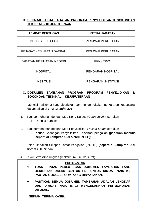# **B. SENARAI KETUA JABATAN PROGRAM PENYELIDIKAN & SOKONGAN TEKNIKAL – KEJURUTERAAN**

| <b>TEMPAT BERTUGAS</b>          | <b>KETUA JABATAN</b>      |
|---------------------------------|---------------------------|
| <b>KLINIK KESIHATAN</b>         | <b>PEGAWAI PERUBATAN</b>  |
| PEJABAT KESIHATAN DAERAH        | PEGAWAI PERUBATAN         |
| <b>JABATAN KESIHATAN NEGERI</b> | PKN / TPKN                |
| <b>HOSPITAL</b>                 | PENGARAH HOSPITAL         |
| <b>INSTITUSI</b>                | <b>PENGARAH INSTITUSI</b> |

# **C. DOKUMEN TAMBAHAN PROGRAM PROGRAM PENYELIDIKAN & SOKONGAN TEKNIKAL – KEJURUTERAAN**

Mengisi maklumat yang diperlukan dan mengemukakan perkara berikut secara dalam talian di **shorturl.at/hisD9**

- 1. Bagi permohonan dengan Mod Kerja Kursus (*Coursework*), sertakan
	- i. Rangka kursus;
- 2. Bagi permohonan dengan Mod Penyelidikan / *Mixed-Mode*, sertakan
	- i. Kertas Cadangan Penyelidikan / disertasi pengajian **(panduan menulis seperti di Lampiran C di sistem eHLP);**
- 3. Pelan Tindakan Selepas Tamat Pengajian (PTSTP) **(seperti di Lampiran D di sistem eHLP);** dan
- 4. *Curriculum vitae* ringkas (maksimum 3 muka surat).

# **PERINGATAN**

- **TUAN / PUAN PERLU SCAN DOKUMEN TAMBAHAN YANG BERKAITAN DALAM BENTUK PDF UNTUK DIMUAT NAIK KE PAUTAN GOOGLE FORM YANG DINYATAKAN.**
- **PASTIKAN SEMUA DOKUMEN TAMBAHAN ADALAH LENGKAP DAN DIMUAT NAIK BAGI MENGELAKKAN PERMOHONAN DITOLAK.**

**SEKIAN, TERIMA KASIH.**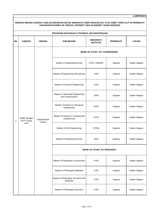# **BIL KAEDAH BIDANG SUB BIDANG UNIVERSITI / INSTITUSI PERINGKAT LOKASI** Master of Engineering (Civil) | UTM / UNIMAS | Sarjana | Dalam Negara Master of Engineering (Structures) | UTM | Sarjana | Dalam Negara Master of Forensic Engineering | UTM | Sarjana | Dalam Negara Master of Structural Engineering and Constructions UPM Sarjana Dalam Negara Master of Science in Structural Science in Suuctural | UiTM | Sarjana | Dalam Negara Master of Science in Construction Engineering UiTM Sarjana Dalam Negara Master of Civil Engineering | UTHM | Sarjana | Dalam Negara Master of Engineering (Civil) | UKM | Sarjana | Dalam Negara Master of Philosophy Construction | UTM | Sarjana | Dalam Negara Master of Philosophy Materials | UTM Sarjana | Dalam Negara Master of Philosophy Structure and UTM | Sarjana | Dalam Negara Master of Philosophy Structure | UTM | Sarjana | Dalam Negara **LAMPIRAN B SENARAI BIDANG KURSUS YANG DITAWARKAN UNTUK MENGIKUTI CBBP DENGAN HLP ATAU CBBP TANPA HLP DI PERINGKAT SARJANA/PH.D/AREA OF SPECIAL INTEREST SESI AKADEMIK TAHUN 2022/2023 PROGRAM SOKONGAN & TEKNIKAL (KEJURUTERAAN)** 1 CBBP Dengan HLP/ Tanpa HLP Kejuruteraan Awam **MODE OF STUDY: BY COURSEWORK MODE OF STUDY: BY RESEARCH**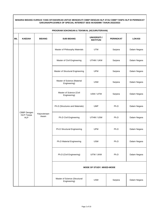|            | PROGRAM SOKONGAN & TEKNIKAL (KEJURUTERAAN) |                      |                                               |                                         |                  |               |  |
|------------|--------------------------------------------|----------------------|-----------------------------------------------|-----------------------------------------|------------------|---------------|--|
| <b>BIL</b> | <b>KAEDAH</b>                              | <b>BIDANG</b>        | <b>SUB BIDANG</b>                             | <b>UNIVERSITI /</b><br><b>INSTITUSI</b> | <b>PERINGKAT</b> | <b>LOKASI</b> |  |
|            |                                            |                      | Master of Philosophy Materials                | <b>UTM</b>                              | Sarjana          | Dalam Negara  |  |
|            |                                            |                      | Master of Civil Engineering                   | UTHM / UKM                              | Sarjana          | Dalam Negara  |  |
|            |                                            |                      | Master of Structural Engineering              | <b>UPM</b>                              | Sarjana          | Dalam Negara  |  |
|            |                                            |                      | Master of Science (Material<br>Engineering)   | <b>USM</b>                              | Sarjana          | Dalam Negara  |  |
|            |                                            | Kejuruteraan<br>Awam | Master of Science (Civil<br>Engineering)      | USM / UiTM                              | Sarjana          | Dalam Negara  |  |
|            |                                            |                      | Ph.D (Structures and Materials)               | <b>UMP</b>                              | Ph.D             | Dalam Negara  |  |
|            | CBBP Dengan<br>HLP/Tanpa<br><b>HLP</b>     |                      | Ph.D Civil Engineering                        | UTHM / USM                              | Ph.D             | Dalam Negara  |  |
|            |                                            |                      | Ph.D Structural Engineering                   | <b>UPM</b>                              | Ph.D             | Dalam Negara  |  |
|            |                                            |                      | Ph.D Material Engineering                     | <b>USM</b>                              | Ph.D             | Dalam Negara  |  |
|            |                                            |                      | Ph.D (Civil Engineering)                      | UiTM / UKM                              | Ph.D             | Dalam Negara  |  |
|            |                                            |                      | <b>MODE OF STUDY: MIXED-MODE</b>              |                                         |                  |               |  |
|            |                                            |                      | Master of Science (Structural<br>Engineering) | <b>USM</b>                              | Sarjana          | Dalam Negara  |  |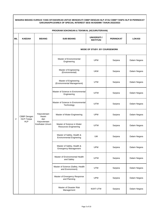|                | PROGRAM SOKONGAN & TEKNIKAL (KEJURUTERAAN) |                                                               |                                                               |                                         |           |               |  |
|----------------|--------------------------------------------|---------------------------------------------------------------|---------------------------------------------------------------|-----------------------------------------|-----------|---------------|--|
| <b>BIL</b>     | <b>KAEDAH</b>                              | <b>BIDANG</b>                                                 | <b>SUB BIDANG</b>                                             | <b>UNIVERSITI /</b><br><b>INSTITUSI</b> | PERINGKAT | <b>LOKASI</b> |  |
|                |                                            |                                                               |                                                               | <b>MODE OF STUDY: BY COURSEWORK</b>     |           |               |  |
|                |                                            |                                                               | Master of Environmental<br>Engineering                        | <b>UPM</b>                              | Sarjana   | Dalam Negara  |  |
|                |                                            |                                                               | Master of Engineering<br>(Environmental)                      | <b>UKM</b>                              | Sarjana   | Dalam Negara  |  |
|                |                                            |                                                               | Master of Engineering<br>(Environmental Management)           | <b>UTM</b>                              | Sarjana   | Dalam Negara  |  |
|                | CBBP Dengan<br>HLP/Tanpa<br><b>HLP</b>     | Kejuruteraan<br>Awam<br>dan<br>Kejuruteraan<br>Kesihatan Umum | Master of Science in Environmental<br>Engineering             | <b>UiTM</b>                             | Sarjana   | Dalam Negara  |  |
|                |                                            |                                                               | Master of Science in Environmental<br>Technology              | UiTM                                    | Sarjana   | Dalam Negara  |  |
| $\overline{2}$ |                                            |                                                               | Master of Water Engineering                                   | <b>UPM</b>                              | Sarjana   | Dalam Negara  |  |
|                |                                            |                                                               | Master of Science in Water<br>Resources Engineering           | <b>UiTM</b>                             | Sarjana   | Dalam Negara  |  |
|                |                                            |                                                               | Master of Safety, Health &<br><b>Environmental Enginering</b> | UM                                      | Sarjana   | Dalam Negara  |  |
|                |                                            |                                                               | Master of Safety, Health &<br><b>Emergency Management</b>     | <b>UPM</b>                              | Sarjana   | Dalam Negara  |  |
|                |                                            |                                                               | Master of Environmental Health<br>and Safety                  | <b>UiTM</b>                             | Sarjana   | Dalam Negara  |  |
|                |                                            |                                                               | Master of Science (Safety, Health<br>and Environment)         | <b>UTM</b>                              | Sarjana   | Dalam Negara  |  |
|                |                                            |                                                               | Master of Emergency Response<br>and Planning                  | <b>UPM</b>                              | Sarjana   | Dalam Negara  |  |
|                |                                            |                                                               | Master of Disaster Risk<br>Management                         | MJIIT-UTM                               | Sarjana   | Dalam Negara  |  |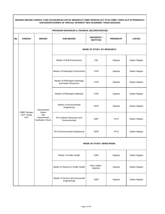|            | PROGRAM SOKONGAN & TEKNIKAL (KEJURUTERAAN)                                                              |                                |                                                       |                                         |                                    |                              |  |  |
|------------|---------------------------------------------------------------------------------------------------------|--------------------------------|-------------------------------------------------------|-----------------------------------------|------------------------------------|------------------------------|--|--|
| <b>BIL</b> | <b>KAEDAH</b>                                                                                           | <b>BIDANG</b>                  | <b>SUB BIDANG</b>                                     | <b>UNIVERSITI /</b><br><b>INSTITUSI</b> | <b>PERINGKAT</b>                   | <b>LOKASI</b>                |  |  |
|            |                                                                                                         |                                | <b>MODE OF STUDY: BY RESEARCH</b>                     |                                         |                                    |                              |  |  |
|            |                                                                                                         |                                | Master of Built Environment                           | UM                                      | Sarjana                            | Dalam Negara                 |  |  |
|            |                                                                                                         |                                | Master of Philosophy Environment                      | <b>UTM</b>                              | Sarjana                            | Dalam Negara                 |  |  |
|            |                                                                                                         |                                | Master of Philosophy Hydrology<br>and Water Resources | UTM                                     | Sarjana                            | Dalam Negara<br>Dalam Negara |  |  |
|            |                                                                                                         |                                | Master of Philosophy Materials                        | <b>UTM</b>                              | Sarjana<br>Sarjana<br>Dalam Negara |                              |  |  |
|            | Kejuruteraan<br>CBBP Dengan<br>Awam<br>HLP/Tanpa<br>dan<br><b>HLP</b><br>Kejuruteraan<br>Kesihatan Umum |                                | Master of Environmental<br>Engineering                | <b>UPM</b>                              |                                    |                              |  |  |
|            |                                                                                                         |                                | Ph.D (Water Resources and<br>Environmental)           | <b>UMP</b>                              | Ph.D                               | Dalam Negara                 |  |  |
|            |                                                                                                         | Ph.D Environmental Engineering | <b>UPM</b>                                            | Ph.D                                    | Dalam Negara                       |                              |  |  |
|            |                                                                                                         |                                |                                                       | <b>MODE OF STUDY: MIXED-MODE</b>        |                                    |                              |  |  |
|            |                                                                                                         |                                | Master of Public Health                               | <b>USM</b>                              | Sarjana                            | Dalam Negara                 |  |  |
|            |                                                                                                         |                                | Master of Science in Public Health                    | IMU/ UNIKL/<br><b>MAHSA</b>             | Sarjana                            | Dalam Negara                 |  |  |
|            |                                                                                                         |                                | Master of Science (Environmental<br>Engineering)      | <b>USM</b>                              | Sarjana                            | Dalam Negara                 |  |  |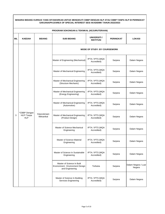|     | PROGRAM SOKONGAN & TEKNIKAL (KEJURUTERAAN)                                                                                                                                                                                           |                                 |                                                                                   |                                         |                  |                               |  |  |
|-----|--------------------------------------------------------------------------------------------------------------------------------------------------------------------------------------------------------------------------------------|---------------------------------|-----------------------------------------------------------------------------------|-----------------------------------------|------------------|-------------------------------|--|--|
| BIL | <b>KAEDAH</b>                                                                                                                                                                                                                        | <b>BIDANG</b>                   | <b>SUB BIDANG</b>                                                                 | <b>UNIVERSITI /</b><br><b>INSTITUSI</b> | <b>PERINGKAT</b> | <b>LOKASI</b>                 |  |  |
|     |                                                                                                                                                                                                                                      |                                 |                                                                                   | <b>MODE OF STUDY: BY COURSEWORK</b>     |                  |                               |  |  |
|     |                                                                                                                                                                                                                                      |                                 | Master of Engineering (Mechanical)                                                | IPTA / IPTS (MQA<br>Accredited)         | Sarjana          | Dalam Negara                  |  |  |
|     |                                                                                                                                                                                                                                      |                                 | Master of Mechanical Engineering                                                  | IPTA / IPTS (MQA<br>Accredited)         | Sarjana          | Dalam Negara<br>Dalam Negara  |  |  |
|     |                                                                                                                                                                                                                                      |                                 | Master of Mechanical Engineering<br>(Structure Mechanic)                          | IPTA / IPTS (MQA<br>Accredited)         | Sarjana          |                               |  |  |
|     |                                                                                                                                                                                                                                      |                                 | Master of Mechanical Engineering<br>(Energy Engineering)                          | IPTA / IPTS (MQA<br>Accredited)         | Sarjana          | Dalam Negara                  |  |  |
|     | Master of Mechanical Engineering<br>(Automotive)<br>*CBBP Dengan<br>Kejuruteraan<br>3<br>HLP/Tanpa<br>Master of Mechanical Engineering<br>Mekanikal<br><b>HLP</b><br>(Product Design)<br>Master of Science Mechanical<br>Engineering | IPTA / IPTS (MQA<br>Accredited) | Sarjana                                                                           | Dalam Negara                            |                  |                               |  |  |
|     |                                                                                                                                                                                                                                      |                                 |                                                                                   | IPTA / IPTS (MQA<br>Accredited)         | Sarjana          | Dalam Negara                  |  |  |
|     |                                                                                                                                                                                                                                      |                                 |                                                                                   | IPTA / IPTS (MQA<br>Accredited)         | Sarjana          | Dalam Negara                  |  |  |
|     |                                                                                                                                                                                                                                      |                                 | Master of Science Material<br>Engineering                                         | IPTA / IPTS (MQA<br>Accredited)         | Sarjana          | Dalam Negara                  |  |  |
|     |                                                                                                                                                                                                                                      |                                 | Master of Science In Sustainable<br>Engineering                                   | IPTA / IPTS (MQA<br>Accredited)         | Sarjana          | Dalam Negara                  |  |  |
|     |                                                                                                                                                                                                                                      |                                 | Master of Science In Built<br>Environment : Environment Design<br>and Engineering | Terbuka                                 | Sarjana          | Dalam Negara / Luar<br>Negara |  |  |
|     |                                                                                                                                                                                                                                      |                                 | Master of Science In Building<br>Services Engineering                             | IPTA / IPTS (MQA<br>Accredited)         | Sarjana          | Dalam Negara                  |  |  |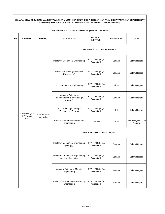|     | PROGRAM SOKONGAN & TEKNIKAL (KEJURUTERAAN)           |                                               |                                                                 |                                         |                     |                                                        |  |
|-----|------------------------------------------------------|-----------------------------------------------|-----------------------------------------------------------------|-----------------------------------------|---------------------|--------------------------------------------------------|--|
| BIL | <b>KAEDAH</b>                                        | <b>BIDANG</b>                                 | <b>SUB BIDANG</b>                                               | <b>UNIVERSITI</b> /<br><b>INSTITUSI</b> | PERINGKAT           | <b>LOKASI</b>                                          |  |
|     |                                                      |                                               | <b>MODE OF STUDY: BY RESEARCH</b>                               |                                         |                     |                                                        |  |
|     |                                                      |                                               | Master of Mechanical Engineering                                | IPTA / IPTS (MQA<br>Accredited)         | Sarjana             | Dalam Negara                                           |  |
|     |                                                      | Master of Science (Mechanical<br>Engineering) | IPTA / IPTS (MQA<br>Accredited)                                 | Sarjana                                 | Dalam Negara        |                                                        |  |
|     |                                                      |                                               | Ph.D Mechanical Engineering                                     | IPTA / IPTS (MQA<br>Accredited)         | Ph.D                | Dalam Negara<br>Dalam Negara<br>Dalam Negara<br>Negara |  |
|     |                                                      | Kejuruteraan                                  | Master of Science in<br>Bioengineering & Technology<br>(Energy) | IPTA / IPTS (MQA<br>Accredited)         | Sarjana             |                                                        |  |
|     | *CBBP Dengan<br>HLP/Tanpa<br>Mekanikal<br><b>HLP</b> |                                               | Ph.D in Bioengineering &<br>Technology (Energy)                 | IPTA / IPTS (MQA<br>Accredited)         | Ph.D                |                                                        |  |
|     |                                                      | Ph.D Environmental Design and<br>Engineering  | Terbuka                                                         | Ph.D                                    | Dalam Negara / Luar |                                                        |  |
|     |                                                      |                                               | <b>MODE OF STUDY: MIXED-MODE</b>                                |                                         |                     |                                                        |  |
|     |                                                      |                                               | Master of Mechanical Engineering<br>(Energy)                    | IPTA / IPTS (MQA<br>Accredited)         | Sarjana             | Dalam Negara                                           |  |
|     |                                                      |                                               | Master of Mechanical Engineering<br>(Applied Mechanics)         | IPTA / IPTS (MQA<br>Accredited)         | Sarjana             | Dalam Negara                                           |  |
|     |                                                      |                                               | Master of Science in Material<br>Engineering                    | IPTA / IPTS (MQA<br>Accredited)         | Sarjana             | Dalam Negara                                           |  |
|     |                                                      |                                               | Master of Science in Manufacturing<br>Engineering               | IPTA / IPTS (MQA<br>Accredited)         | Sarjana             | Dalam Negara                                           |  |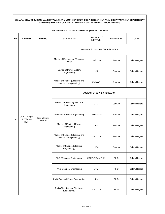|            | PROGRAM SOKONGAN & TEKNIKAL (KEJURUTERAAN)      |                                                                                                                                                                                                                                                                                                                                 |                                                              |                                         |                  |                                         |  |  |
|------------|-------------------------------------------------|---------------------------------------------------------------------------------------------------------------------------------------------------------------------------------------------------------------------------------------------------------------------------------------------------------------------------------|--------------------------------------------------------------|-----------------------------------------|------------------|-----------------------------------------|--|--|
| <b>BIL</b> | <b>KAEDAH</b>                                   | <b>BIDANG</b>                                                                                                                                                                                                                                                                                                                   | <b>SUB BIDANG</b>                                            | <b>UNIVERSITI /</b><br><b>INSTITUSI</b> | <b>PERINGKAT</b> | <b>LOKASI</b>                           |  |  |
|            | Power)<br>Master Of Power System<br>Engineering |                                                                                                                                                                                                                                                                                                                                 | <b>MODE OF STUDY: BY COURSEWORK</b>                          |                                         |                  |                                         |  |  |
|            |                                                 |                                                                                                                                                                                                                                                                                                                                 | Master of Engineering (Electrical                            | UTM/UTEM                                | Sarjana          | Dalam Negara                            |  |  |
|            |                                                 |                                                                                                                                                                                                                                                                                                                                 | UM                                                           | Sarjana                                 | Dalam Negara     |                                         |  |  |
|            |                                                 |                                                                                                                                                                                                                                                                                                                                 | Master of Science (Electrical and<br>Electronic Engineering) | <b>UNIMAP</b>                           | Sarjana          | Dalam Negara<br>Sarjana<br>Dalam Negara |  |  |
|            |                                                 |                                                                                                                                                                                                                                                                                                                                 |                                                              | <b>MODE OF STUDY: BY RESEARCH</b>       |                  |                                         |  |  |
|            |                                                 | Master of Philosophy Electrical<br><b>UTM</b><br>Engineering<br>UTHM/UMS<br>Master of Electrical Engineering<br>Sarjana<br>Kejuruteraan<br>Elektrik<br><b>HLP</b><br>Master of Electrical Power<br><b>UPM</b><br>Sarjana<br>Engineering<br>Master of Science (Electrical and<br>USM / UKM<br>Sarjana<br>Electronic Engineering) |                                                              |                                         |                  |                                         |  |  |
| 4          | CBBP Dengan<br>HLP/Tanpa                        |                                                                                                                                                                                                                                                                                                                                 |                                                              |                                         |                  | Dalam Negara                            |  |  |
|            |                                                 |                                                                                                                                                                                                                                                                                                                                 |                                                              |                                         |                  | Dalam Negara                            |  |  |
|            |                                                 |                                                                                                                                                                                                                                                                                                                                 |                                                              |                                         |                  | Dalam Negara                            |  |  |
|            |                                                 |                                                                                                                                                                                                                                                                                                                                 | Master of Science (Electrical<br>Engineering)                | <b>UiTM</b>                             | Sarjana          | Dalam Negara                            |  |  |
|            |                                                 |                                                                                                                                                                                                                                                                                                                                 | Ph.D (Electrical Engineering)                                | UiTM/UTEM/UTHM                          | Ph.D             | Dalam Negara                            |  |  |
|            |                                                 |                                                                                                                                                                                                                                                                                                                                 | Ph.D Electrical Engineering                                  | <b>UTM</b>                              | Ph.D             | Dalam Negara                            |  |  |
|            |                                                 |                                                                                                                                                                                                                                                                                                                                 | Ph.D Electrical Power Engineering                            | <b>UPM</b>                              | Ph.D             | Dalam Negara                            |  |  |
|            |                                                 |                                                                                                                                                                                                                                                                                                                                 | Ph.D (Electrical and Electronic<br>Engineering)              | USM / UKM                               | Ph.D             | Dalam Negara                            |  |  |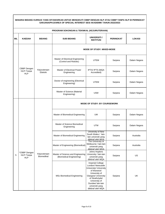|     | PROGRAM SOKONGAN & TEKNIKAL (KEJURUTERAAN) |                            |                                                               |                                                                                                                                                                                                                                 |                  |               |  |  |
|-----|--------------------------------------------|----------------------------|---------------------------------------------------------------|---------------------------------------------------------------------------------------------------------------------------------------------------------------------------------------------------------------------------------|------------------|---------------|--|--|
| BIL | <b>KAEDAH</b>                              | <b>BIDANG</b>              | <b>SUB BIDANG</b>                                             | UNIVERSITI /<br><b>INSTITUSI</b>                                                                                                                                                                                                | <b>PERINGKAT</b> | <b>LOKASI</b> |  |  |
|     |                                            |                            | <b>MODE OF STUDY: MIXED-MODE</b>                              |                                                                                                                                                                                                                                 |                  |               |  |  |
|     |                                            |                            | Master of Electrical Engineering<br>(Control and Robotic)     | <b>UTEM</b>                                                                                                                                                                                                                     | Sarjana          | Dalam Negara  |  |  |
|     | CBBP Dengan<br>HLP/Tanpa<br><b>HLP</b>     | Kejuruteraan<br>Elektrik   | Master of Electrical Power<br>Engineering                     | IPTA/ IPTS (MQA<br>Accredited)                                                                                                                                                                                                  | Sarjana          | Dalam Negara  |  |  |
|     |                                            |                            | Doctor of engineering (Electrical<br>Engineering)             | <b>UTEM</b>                                                                                                                                                                                                                     | Sarjana          | Dalam Negara  |  |  |
|     |                                            |                            | Master of Science (Material<br>Engineering)                   | <b>USM</b>                                                                                                                                                                                                                      | Sarjana          | Dalam Negara  |  |  |
|     |                                            |                            | <b>MODE OF STUDY: BY COURSEWORK</b>                           |                                                                                                                                                                                                                                 |                  |               |  |  |
|     |                                            |                            | Master of Biomedical Engineering                              | <b>UM</b>                                                                                                                                                                                                                       | Sarjana          | Dalam Negara  |  |  |
|     |                                            |                            | Master of Science Biomedical<br>Engineering                   | <b>UTM</b>                                                                                                                                                                                                                      | Sarjana          | Dalam Negara  |  |  |
|     |                                            |                            | Master of Biomedical Engineering                              | University of New<br>South Wales / lain-<br>lain universiti yang<br>diiktiraf oleh MQA                                                                                                                                          | Sarjana          | Australia     |  |  |
|     |                                            |                            | Master of Engineering (Biomedical)                            | The University of<br>Melbourne / lain-lain<br>universiti yang<br>diiktiraf oleh MQA                                                                                                                                             | Sarjana          | Australia     |  |  |
| 5   | *CBBP Dengan<br>HLP/Tanpa<br><b>HLP</b>    | Kejuruteraan<br>Biomedikal | Master of Science and Engineering<br>(Biomedical Engineering) | Johns Hopkins<br>University / lain-lain<br>universiti yang<br>diiktiraf oleh MQA                                                                                                                                                | Sarjana          | US            |  |  |
|     |                                            |                            | <b>MSc Biomedical Engineering</b>                             | <b>Imperial College</b><br>London/ Newcastle<br>University/ University<br>of Warwick/<br>University of<br>Glasgow/ University<br>of Strathclyde/<br>University of<br>Dundee/ lain-lain<br>universiti yang<br>diiktiraf oleh MQA | Sarjana          | <b>UK</b>     |  |  |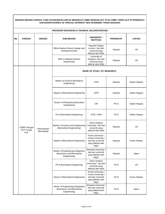|     | PROGRAM SOKONGAN & TEKNIKAL (KEJURUTERAAN) |                                                 |                                                                                        |                                                                                                 |                  |               |  |  |
|-----|--------------------------------------------|-------------------------------------------------|----------------------------------------------------------------------------------------|-------------------------------------------------------------------------------------------------|------------------|---------------|--|--|
| BIL | <b>KAEDAH</b>                              | <b>BIDANG</b>                                   | <b>SUB BIDANG</b>                                                                      | UNIVERSITI /<br><b>INSTITUSI</b>                                                                | <b>PERINGKAT</b> | <b>LOKASI</b> |  |  |
|     |                                            |                                                 | MRes Medical Device Design and<br>Entrepreneurship                                     | <b>Imperial College</b><br>London / lain-lain<br>universiti yang<br>diiktiraf oleh MQA          | Sarjana          | <b>UK</b>     |  |  |
|     |                                            |                                                 | <b>MSc in Medical Devices</b><br>Engineering                                           | University of<br>Glasgow / lain-lain<br>universiti yang<br>diiktiraf oleh MQA                   | Sarjana          | UK            |  |  |
|     |                                            |                                                 |                                                                                        | <b>MODE OF STUDY: BY RESEARCH</b>                                                               |                  |               |  |  |
|     |                                            |                                                 | Master of Science Biomedical<br>Engineering                                            | <b>UTM</b>                                                                                      | Sarjana          | Dalam Negara  |  |  |
|     |                                            |                                                 | Master of Biomedical Engineering                                                       | <b>UPM</b>                                                                                      | Sarjana          | Dalam Negara  |  |  |
|     |                                            |                                                 | Doctor of Philosophy Biomedical<br>Engineering                                         | UM                                                                                              | Ph.D             | Dalam Negara  |  |  |
|     |                                            | Kejuruteraan<br><b>Biomedikal</b><br><b>HLP</b> | Ph.D Biomedical Engineering                                                            | UTM / UPM                                                                                       | Ph.D             | Dalam Negara  |  |  |
|     | *CBBP Dengan<br>HLP/Tanpa                  |                                                 | Master of Science and Engineering<br>(Biomedical Engineering)                          | Johns Hopkins<br>University / lain-lain<br>universiti yang<br>diiktiraf oleh MQA                | Sarjana          | US            |  |  |
|     |                                            |                                                 | Master of Biomedical Engineering                                                       | Korea University /<br>Yonsei University /<br>lain-lain universiti<br>vang diiktiraf oleh<br>MQA | Sarjana          | Korea Selatan |  |  |
|     |                                            |                                                 | Master of Engineering (Integrative<br>Bioscience and Biomedical<br>Engineering)        | Waseda University /<br>lain-lain universiti<br>yang diiktiraf oleh<br>MQA                       | Sarjana          | Jepun         |  |  |
|     |                                            |                                                 | Ph.D Biomedical Engineering                                                            | Johns Hopkins<br>University / lain-lain<br>universiti yang<br>diiktiraf oleh MQA                | Ph.D             | US            |  |  |
|     |                                            |                                                 | Doctor of Biomedical Engineering                                                       | Korea University /<br>Yonsei University /<br>lain-lain universiti<br>yang diiktiraf oleh<br>MQA | Ph.D             | Korea Selatan |  |  |
|     |                                            |                                                 | Doctor of Engineering (Integrative<br><b>Bioscience and Biomedical</b><br>Engineering) | Waseda University /<br>lain-lain universiti<br>yang diiktiraf oleh<br><b>MQA</b>                | Ph.D             | Jepun         |  |  |